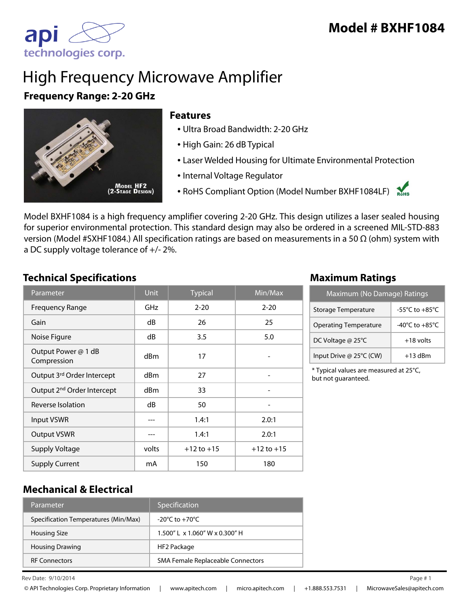

# High Frequency Microwave Amplifier

### **Frequency Range: 2-20 GHz**



#### **Features**

- Ultra Broad Bandwidth: 2-20 GHz
- High Gain: 26 dB Typical
- Laser Welded Housing for Ultimate Environmental Protection
- Internal Voltage Regulator
- RoHS Compliant Option (Model Number BXHF1084LF)

Model BXHF1084 is a high frequency amplifier covering 2-20 GHz. This design utilizes a laser sealed housing for superior environmental protection. This standard design may also be ordered in a screened MIL-STD-883 version (Model #SXHF1084.) All specification ratings are based on measurements in a 50 Ω (ohm) system with a DC supply voltage tolerance of +/- 2%.

#### **Technical Specifications Maximum Ratings**

| Parameter                              | <b>Unit</b>     | <b>Typical</b> | $\overline{\textsf{Min}/\textsf{Max}}$ |
|----------------------------------------|-----------------|----------------|----------------------------------------|
| <b>Frequency Range</b>                 | GHz             | $2 - 20$       | $2 - 20$                               |
| Gain                                   | dB              | 26             | 25                                     |
| Noise Figure                           | dB              | 3.5            | 5.0                                    |
| Output Power @ 1 dB<br>Compression     | d <sub>Bm</sub> | 17             |                                        |
| Output 3rd Order Intercept             | dBm             | 27             |                                        |
| Output 2 <sup>nd</sup> Order Intercept | dBm             | 33             |                                        |
| Reverse Isolation                      | dB              | 50             |                                        |
| <b>Input VSWR</b>                      |                 | 1.4:1          | 2.0:1                                  |
| <b>Output VSWR</b>                     |                 | 1.4:1          | 2.0:1                                  |
| <b>Supply Voltage</b>                  | volts           | $+12$ to $+15$ | $+12$ to $+15$                         |
| <b>Supply Current</b>                  | mA              | 150            | 180                                    |

| Maximum (No Damage) Ratings  |                                      |  |
|------------------------------|--------------------------------------|--|
| Storage Temperature          | -55 $^{\circ}$ C to +85 $^{\circ}$ C |  |
| <b>Operating Temperature</b> | -40 $^{\circ}$ C to +85 $^{\circ}$ C |  |
| DC Voltage @ 25°C            | $+18$ volts                          |  |
| Input Drive @ 25°C (CW)      | $+13$ dBm                            |  |

\* Typical values are measured at 25°C, but not guaranteed.

#### **Mechanical & Electrical**

| Parameter                            | Specification                                   |
|--------------------------------------|-------------------------------------------------|
| Specification Temperatures (Min/Max) | $-20^{\circ}$ C to $+70^{\circ}$ C              |
| <b>Housing Size</b>                  | $1.500''$ L $\times$ 1.060" W $\times$ 0.300" H |
| <b>Housing Drawing</b>               | HF2 Package                                     |
| <b>RF Connectors</b>                 | SMA Female Replaceable Connectors               |

Rev Date:  $9/10/2014$  Page #1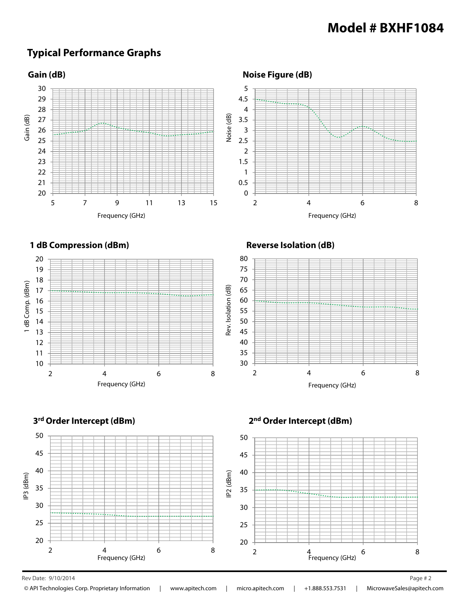## **Typical Performance Graphs**